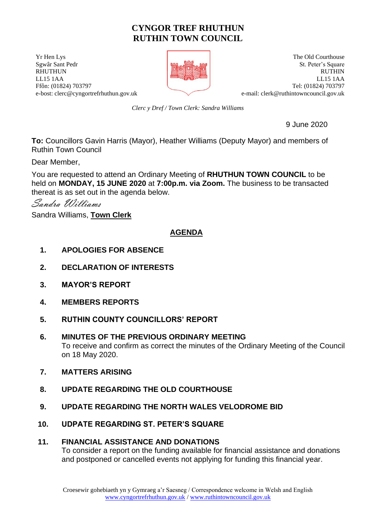# **CYNGOR TREF RHUTHUN RUTHIN TOWN COUNCIL**

**The Old Courthouse** The Old Courthouse **The Old Courthouse** e-bost: clerc@cyngortrefrhuthun.gov.uk e-mail: [clerk@ruthintowncouncil.gov.uk](mailto:clerk@ruthintowncouncil.gov.uk)



Sgwâr Sant Pedr St. Peter's Square RHUTHUN RUTHIN LL15 1AA LL15 1AA Ffôn: (01824) 703797 Tel: (01824) 703797

*Clerc y Dref / Town Clerk: Sandra Williams*

9 June 2020

**To:** Councillors Gavin Harris (Mayor), Heather Williams (Deputy Mayor) and members of Ruthin Town Council

Dear Member,

You are requested to attend an Ordinary Meeting of **RHUTHUN TOWN COUNCIL** to be held on **MONDAY, 15 JUNE 2020** at **7:00p.m. via Zoom.** The business to be transacted thereat is as set out in the agenda below.

Sandra Williams

Sandra Williams, **Town Clerk**

## **AGENDA**

- **1. APOLOGIES FOR ABSENCE**
- **2. DECLARATION OF INTERESTS**
- **3. MAYOR'S REPORT**
- **4. MEMBERS REPORTS**
- **5. RUTHIN COUNTY COUNCILLORS' REPORT**
- **6. MINUTES OF THE PREVIOUS ORDINARY MEETING** To receive and confirm as correct the minutes of the Ordinary Meeting of the Council on 18 May 2020.
- **7. MATTERS ARISING**
- **8. UPDATE REGARDING THE OLD COURTHOUSE**
- **9. UPDATE REGARDING THE NORTH WALES VELODROME BID**
- **10. UDPATE REGARDING ST. PETER'S SQUARE**

## **11. FINANCIAL ASSISTANCE AND DONATIONS**

To consider a report on the funding available for financial assistance and donations and postponed or cancelled events not applying for funding this financial year.